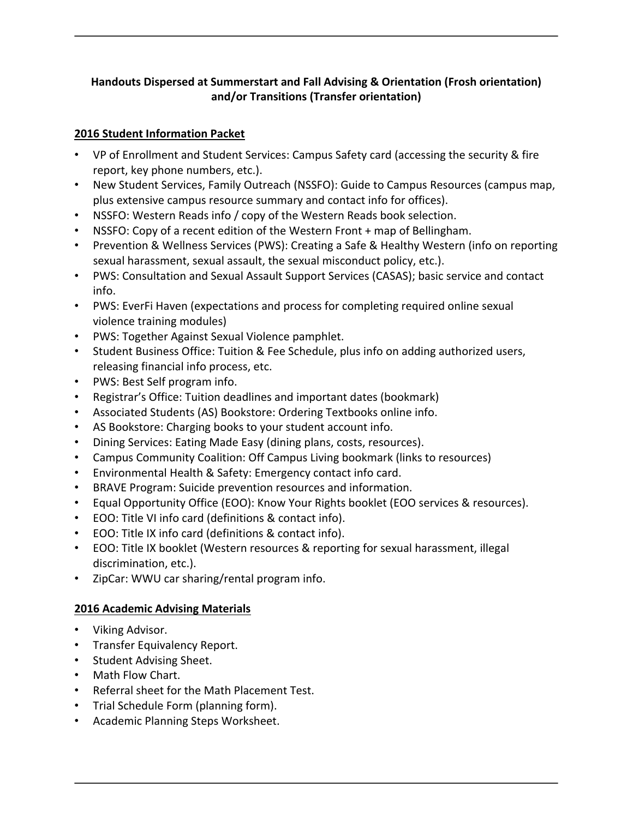## **Handouts Dispersed at Summerstart and Fall Advising & Orientation (Frosh orientation) and/or Transitions (Transfer orientation)**

## **2016 Student Information Packet**

- VP of Enrollment and Student Services: Campus Safety card (accessing the security & fire report, key phone numbers, etc.).
- New Student Services, Family Outreach (NSSFO): Guide to Campus Resources (campus map, plus extensive campus resource summary and contact info for offices).
- NSSFO: Western Reads info / copy of the Western Reads book selection.
- NSSFO: Copy of a recent edition of the Western Front + map of Bellingham.
- Prevention & Wellness Services (PWS): Creating a Safe & Healthy Western (info on reporting sexual harassment, sexual assault, the sexual misconduct policy, etc.).
- PWS: Consultation and Sexual Assault Support Services (CASAS); basic service and contact info.
- PWS: EverFi Haven (expectations and process for completing required online sexual violence training modules)
- PWS: Together Against Sexual Violence pamphlet.
- Student Business Office: Tuition & Fee Schedule, plus info on adding authorized users, releasing financial info process, etc.
- PWS: Best Self program info.
- Registrar's Office: Tuition deadlines and important dates (bookmark)
- Associated Students (AS) Bookstore: Ordering Textbooks online info.
- AS Bookstore: Charging books to your student account info.
- Dining Services: Eating Made Easy (dining plans, costs, resources).
- Campus Community Coalition: Off Campus Living bookmark (links to resources)
- Environmental Health & Safety: Emergency contact info card.
- BRAVE Program: Suicide prevention resources and information.
- Equal Opportunity Office (EOO): Know Your Rights booklet (EOO services & resources).
- EOO: Title VI info card (definitions & contact info).
- EOO: Title IX info card (definitions & contact info).
- EOO: Title IX booklet (Western resources & reporting for sexual harassment, illegal discrimination, etc.).
- ZipCar: WWU car sharing/rental program info.

## **2016 Academic Advising Materials**

- Viking Advisor.
- Transfer Equivalency Report.
- Student Advising Sheet.
- Math Flow Chart.
- Referral sheet for the Math Placement Test.
- Trial Schedule Form (planning form).
- Academic Planning Steps Worksheet.